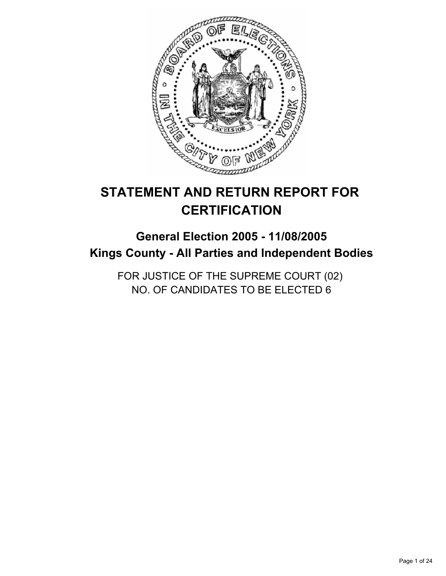

# **STATEMENT AND RETURN REPORT FOR CERTIFICATION**

# **General Election 2005 - 11/08/2005 Kings County - All Parties and Independent Bodies**

FOR JUSTICE OF THE SUPREME COURT (02) NO. OF CANDIDATES TO BE ELECTED 6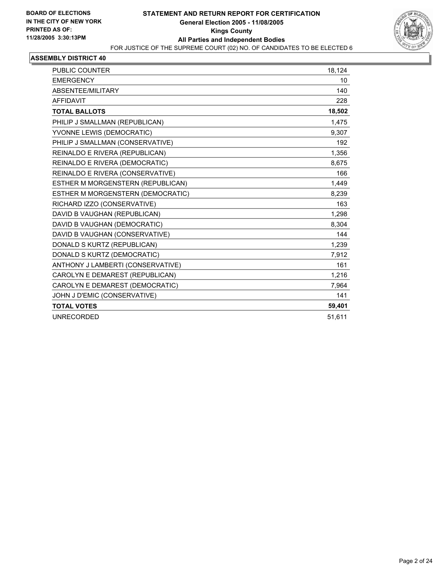

| PUBLIC COUNTER                    | 18,124 |
|-----------------------------------|--------|
| <b>EMERGENCY</b>                  | 10     |
| ABSENTEE/MILITARY                 | 140    |
| <b>AFFIDAVIT</b>                  | 228    |
| <b>TOTAL BALLOTS</b>              | 18,502 |
| PHILIP J SMALLMAN (REPUBLICAN)    | 1,475  |
| YVONNE LEWIS (DEMOCRATIC)         | 9,307  |
| PHILIP J SMALLMAN (CONSERVATIVE)  | 192    |
| REINALDO E RIVERA (REPUBLICAN)    | 1,356  |
| REINALDO E RIVERA (DEMOCRATIC)    | 8,675  |
| REINALDO E RIVERA (CONSERVATIVE)  | 166    |
| ESTHER M MORGENSTERN (REPUBLICAN) | 1,449  |
| ESTHER M MORGENSTERN (DEMOCRATIC) | 8,239  |
| RICHARD IZZO (CONSERVATIVE)       | 163    |
| DAVID B VAUGHAN (REPUBLICAN)      | 1,298  |
| DAVID B VAUGHAN (DEMOCRATIC)      | 8,304  |
| DAVID B VAUGHAN (CONSERVATIVE)    | 144    |
| DONALD S KURTZ (REPUBLICAN)       | 1,239  |
| DONALD S KURTZ (DEMOCRATIC)       | 7,912  |
| ANTHONY J LAMBERTI (CONSERVATIVE) | 161    |
| CAROLYN E DEMAREST (REPUBLICAN)   | 1,216  |
| CAROLYN E DEMAREST (DEMOCRATIC)   | 7,964  |
| JOHN J D'EMIC (CONSERVATIVE)      | 141    |
| <b>TOTAL VOTES</b>                | 59,401 |
| <b>UNRECORDED</b>                 | 51,611 |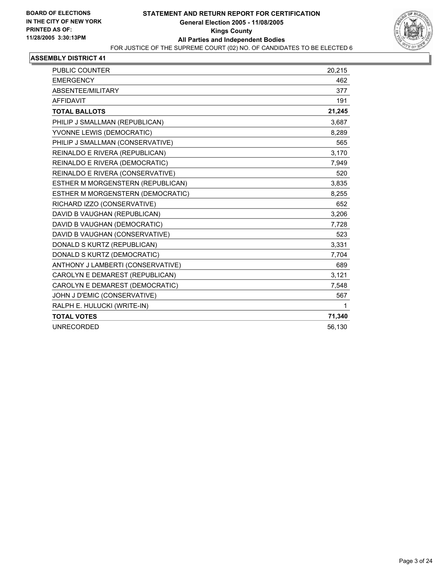

| <b>PUBLIC COUNTER</b>             | 20,215 |
|-----------------------------------|--------|
| <b>EMERGENCY</b>                  | 462    |
| ABSENTEE/MILITARY                 | 377    |
| <b>AFFIDAVIT</b>                  | 191    |
| <b>TOTAL BALLOTS</b>              | 21,245 |
| PHILIP J SMALLMAN (REPUBLICAN)    | 3,687  |
| YVONNE LEWIS (DEMOCRATIC)         | 8,289  |
| PHILIP J SMALLMAN (CONSERVATIVE)  | 565    |
| REINALDO E RIVERA (REPUBLICAN)    | 3,170  |
| REINALDO E RIVERA (DEMOCRATIC)    | 7,949  |
| REINALDO E RIVERA (CONSERVATIVE)  | 520    |
| ESTHER M MORGENSTERN (REPUBLICAN) | 3,835  |
| ESTHER M MORGENSTERN (DEMOCRATIC) | 8,255  |
| RICHARD IZZO (CONSERVATIVE)       | 652    |
| DAVID B VAUGHAN (REPUBLICAN)      | 3,206  |
| DAVID B VAUGHAN (DEMOCRATIC)      | 7,728  |
| DAVID B VAUGHAN (CONSERVATIVE)    | 523    |
| DONALD S KURTZ (REPUBLICAN)       | 3,331  |
| DONALD S KURTZ (DEMOCRATIC)       | 7,704  |
| ANTHONY J LAMBERTI (CONSERVATIVE) | 689    |
| CAROLYN E DEMAREST (REPUBLICAN)   | 3,121  |
| CAROLYN E DEMAREST (DEMOCRATIC)   | 7,548  |
| JOHN J D'EMIC (CONSERVATIVE)      | 567    |
| RALPH E. HULUCKI (WRITE-IN)       | 1      |
| <b>TOTAL VOTES</b>                | 71,340 |
| <b>UNRECORDED</b>                 | 56,130 |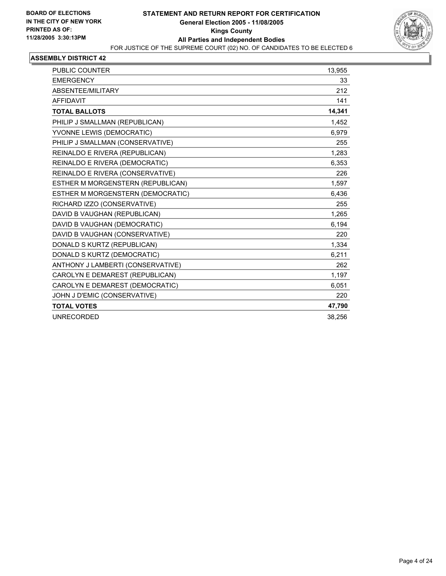

| <b>PUBLIC COUNTER</b>             | 13,955 |
|-----------------------------------|--------|
| <b>EMERGENCY</b>                  | 33     |
| ABSENTEE/MILITARY                 | 212    |
| <b>AFFIDAVIT</b>                  | 141    |
| <b>TOTAL BALLOTS</b>              | 14,341 |
| PHILIP J SMALLMAN (REPUBLICAN)    | 1,452  |
| YVONNE LEWIS (DEMOCRATIC)         | 6.979  |
| PHILIP J SMALLMAN (CONSERVATIVE)  | 255    |
| REINALDO E RIVERA (REPUBLICAN)    | 1.283  |
| REINALDO E RIVERA (DEMOCRATIC)    | 6,353  |
| REINALDO E RIVERA (CONSERVATIVE)  | 226    |
| ESTHER M MORGENSTERN (REPUBLICAN) | 1,597  |
| ESTHER M MORGENSTERN (DEMOCRATIC) | 6,436  |
| RICHARD IZZO (CONSERVATIVE)       | 255    |
| DAVID B VAUGHAN (REPUBLICAN)      | 1,265  |
| DAVID B VAUGHAN (DEMOCRATIC)      | 6,194  |
| DAVID B VAUGHAN (CONSERVATIVE)    | 220    |
| DONALD S KURTZ (REPUBLICAN)       | 1,334  |
| DONALD S KURTZ (DEMOCRATIC)       | 6,211  |
| ANTHONY J LAMBERTI (CONSERVATIVE) | 262    |
| CAROLYN E DEMAREST (REPUBLICAN)   | 1,197  |
| CAROLYN E DEMAREST (DEMOCRATIC)   | 6,051  |
| JOHN J D'EMIC (CONSERVATIVE)      | 220    |
| <b>TOTAL VOTES</b>                | 47,790 |
| <b>UNRECORDED</b>                 | 38,256 |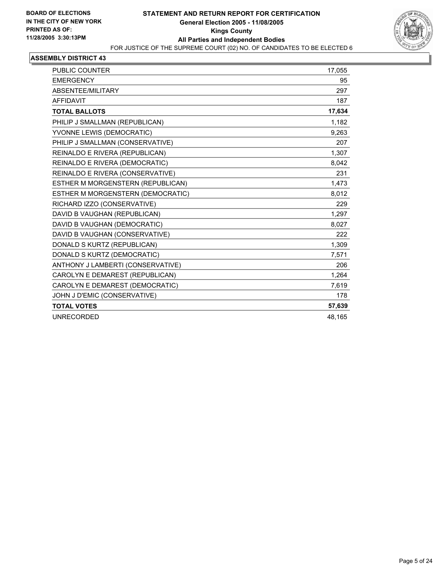

| <b>PUBLIC COUNTER</b>             | 17.055 |
|-----------------------------------|--------|
| <b>EMERGENCY</b>                  | 95     |
| ABSENTEE/MILITARY                 | 297    |
| AFFIDAVIT                         | 187    |
| <b>TOTAL BALLOTS</b>              | 17,634 |
| PHILIP J SMALLMAN (REPUBLICAN)    | 1,182  |
| YVONNE LEWIS (DEMOCRATIC)         | 9,263  |
| PHILIP J SMALLMAN (CONSERVATIVE)  | 207    |
| REINALDO E RIVERA (REPUBLICAN)    | 1,307  |
| REINALDO E RIVERA (DEMOCRATIC)    | 8,042  |
| REINALDO E RIVERA (CONSERVATIVE)  | 231    |
| ESTHER M MORGENSTERN (REPUBLICAN) | 1,473  |
| ESTHER M MORGENSTERN (DEMOCRATIC) | 8,012  |
| RICHARD IZZO (CONSERVATIVE)       | 229    |
| DAVID B VAUGHAN (REPUBLICAN)      | 1.297  |
| DAVID B VAUGHAN (DEMOCRATIC)      | 8,027  |
| DAVID B VAUGHAN (CONSERVATIVE)    | 222    |
| DONALD S KURTZ (REPUBLICAN)       | 1,309  |
| DONALD S KURTZ (DEMOCRATIC)       | 7,571  |
| ANTHONY J LAMBERTI (CONSERVATIVE) | 206    |
| CAROLYN E DEMAREST (REPUBLICAN)   | 1,264  |
| CAROLYN E DEMAREST (DEMOCRATIC)   | 7,619  |
| JOHN J D'EMIC (CONSERVATIVE)      | 178    |
| <b>TOTAL VOTES</b>                | 57,639 |
| <b>UNRECORDED</b>                 | 48,165 |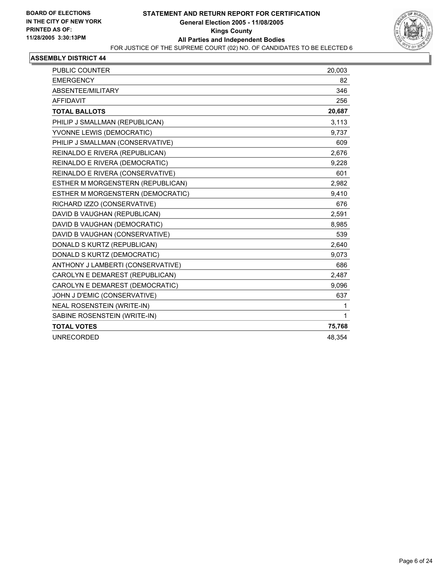

| PUBLIC COUNTER                    | 20,003 |
|-----------------------------------|--------|
| <b>EMERGENCY</b>                  | 82     |
| ABSENTEE/MILITARY                 | 346    |
| <b>AFFIDAVIT</b>                  | 256    |
| <b>TOTAL BALLOTS</b>              | 20,687 |
| PHILIP J SMALLMAN (REPUBLICAN)    | 3,113  |
| YVONNE LEWIS (DEMOCRATIC)         | 9,737  |
| PHILIP J SMALLMAN (CONSERVATIVE)  | 609    |
| REINALDO E RIVERA (REPUBLICAN)    | 2,676  |
| REINALDO E RIVERA (DEMOCRATIC)    | 9,228  |
| REINALDO E RIVERA (CONSERVATIVE)  | 601    |
| ESTHER M MORGENSTERN (REPUBLICAN) | 2,982  |
| ESTHER M MORGENSTERN (DEMOCRATIC) | 9,410  |
| RICHARD IZZO (CONSERVATIVE)       | 676    |
| DAVID B VAUGHAN (REPUBLICAN)      | 2,591  |
| DAVID B VAUGHAN (DEMOCRATIC)      | 8,985  |
| DAVID B VAUGHAN (CONSERVATIVE)    | 539    |
| DONALD S KURTZ (REPUBLICAN)       | 2,640  |
| DONALD S KURTZ (DEMOCRATIC)       | 9,073  |
| ANTHONY J LAMBERTI (CONSERVATIVE) | 686    |
| CAROLYN E DEMAREST (REPUBLICAN)   | 2,487  |
| CAROLYN E DEMAREST (DEMOCRATIC)   | 9,096  |
| JOHN J D'EMIC (CONSERVATIVE)      | 637    |
| <b>NEAL ROSENSTEIN (WRITE-IN)</b> | 1      |
| SABINE ROSENSTEIN (WRITE-IN)      | 1      |
| <b>TOTAL VOTES</b>                | 75,768 |
| <b>UNRECORDED</b>                 | 48,354 |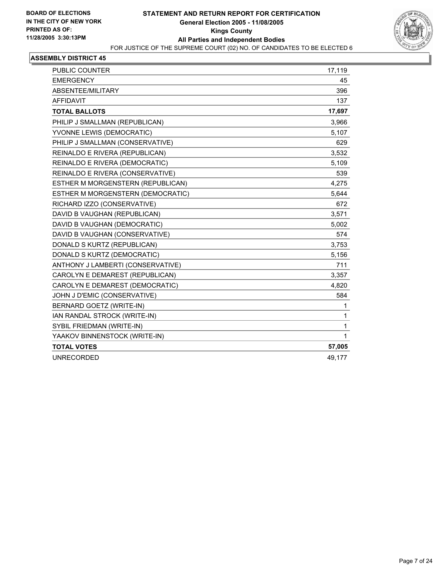

| <b>EMERGENCY</b><br>45<br>ABSENTEE/MILITARY<br>396<br><b>AFFIDAVIT</b><br>137<br>17,697<br><b>TOTAL BALLOTS</b><br>PHILIP J SMALLMAN (REPUBLICAN)<br>3,966<br>YVONNE LEWIS (DEMOCRATIC)<br>5,107<br>PHILIP J SMALLMAN (CONSERVATIVE)<br>629 |
|---------------------------------------------------------------------------------------------------------------------------------------------------------------------------------------------------------------------------------------------|
|                                                                                                                                                                                                                                             |
|                                                                                                                                                                                                                                             |
|                                                                                                                                                                                                                                             |
|                                                                                                                                                                                                                                             |
|                                                                                                                                                                                                                                             |
|                                                                                                                                                                                                                                             |
|                                                                                                                                                                                                                                             |
| REINALDO E RIVERA (REPUBLICAN)<br>3,532                                                                                                                                                                                                     |
| REINALDO E RIVERA (DEMOCRATIC)<br>5,109                                                                                                                                                                                                     |
| REINALDO E RIVERA (CONSERVATIVE)<br>539                                                                                                                                                                                                     |
| 4,275<br>ESTHER M MORGENSTERN (REPUBLICAN)                                                                                                                                                                                                  |
| ESTHER M MORGENSTERN (DEMOCRATIC)<br>5,644                                                                                                                                                                                                  |
| RICHARD IZZO (CONSERVATIVE)<br>672                                                                                                                                                                                                          |
| DAVID B VAUGHAN (REPUBLICAN)<br>3,571                                                                                                                                                                                                       |
| DAVID B VAUGHAN (DEMOCRATIC)<br>5,002                                                                                                                                                                                                       |
| DAVID B VAUGHAN (CONSERVATIVE)<br>574                                                                                                                                                                                                       |
| DONALD S KURTZ (REPUBLICAN)<br>3,753                                                                                                                                                                                                        |
| DONALD S KURTZ (DEMOCRATIC)<br>5,156                                                                                                                                                                                                        |
| ANTHONY J LAMBERTI (CONSERVATIVE)<br>711                                                                                                                                                                                                    |
| CAROLYN E DEMAREST (REPUBLICAN)<br>3,357                                                                                                                                                                                                    |
| CAROLYN E DEMAREST (DEMOCRATIC)<br>4,820                                                                                                                                                                                                    |
| JOHN J D'EMIC (CONSERVATIVE)<br>584                                                                                                                                                                                                         |
| BERNARD GOETZ (WRITE-IN)<br>1                                                                                                                                                                                                               |
| IAN RANDAL STROCK (WRITE-IN)<br>1                                                                                                                                                                                                           |
| SYBIL FRIEDMAN (WRITE-IN)<br>1                                                                                                                                                                                                              |
| YAAKOV BINNENSTOCK (WRITE-IN)<br>1                                                                                                                                                                                                          |
| <b>TOTAL VOTES</b><br>57,005                                                                                                                                                                                                                |
| <b>UNRECORDED</b><br>49,177                                                                                                                                                                                                                 |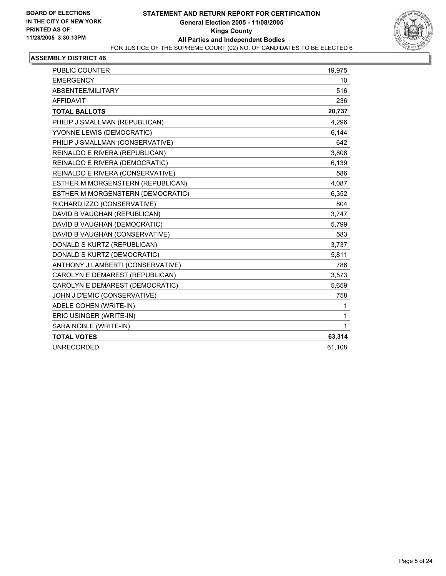

| <b>PUBLIC COUNTER</b>             | 19,975 |
|-----------------------------------|--------|
| <b>EMERGENCY</b>                  | 10     |
| ABSENTEE/MILITARY                 | 516    |
| AFFIDAVIT                         | 236    |
| <b>TOTAL BALLOTS</b>              | 20,737 |
| PHILIP J SMALLMAN (REPUBLICAN)    | 4,296  |
| YVONNE LEWIS (DEMOCRATIC)         | 6,144  |
| PHILIP J SMALLMAN (CONSERVATIVE)  | 642    |
| REINALDO E RIVERA (REPUBLICAN)    | 3,808  |
| REINALDO E RIVERA (DEMOCRATIC)    | 6,139  |
| REINALDO E RIVERA (CONSERVATIVE)  | 586    |
| ESTHER M MORGENSTERN (REPUBLICAN) | 4,087  |
| ESTHER M MORGENSTERN (DEMOCRATIC) | 6,352  |
| RICHARD IZZO (CONSERVATIVE)       | 804    |
| DAVID B VAUGHAN (REPUBLICAN)      | 3,747  |
| DAVID B VAUGHAN (DEMOCRATIC)      | 5,799  |
| DAVID B VAUGHAN (CONSERVATIVE)    | 583    |
| DONALD S KURTZ (REPUBLICAN)       | 3,737  |
| DONALD S KURTZ (DEMOCRATIC)       | 5,811  |
| ANTHONY J LAMBERTI (CONSERVATIVE) | 786    |
| CAROLYN E DEMAREST (REPUBLICAN)   | 3,573  |
| CAROLYN E DEMAREST (DEMOCRATIC)   | 5,659  |
| JOHN J D'EMIC (CONSERVATIVE)      | 758    |
| ADELE COHEN (WRITE-IN)            | 1      |
| ERIC USINGER (WRITE-IN)           | 1      |
| SARA NOBLE (WRITE-IN)             | 1      |
| <b>TOTAL VOTES</b>                | 63,314 |
| <b>UNRECORDED</b>                 | 61,108 |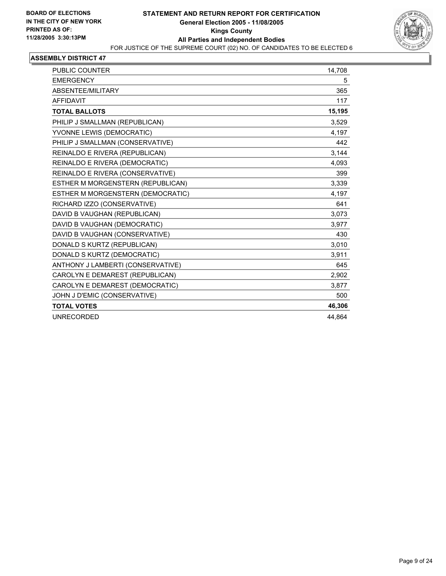

| <b>PUBLIC COUNTER</b>             | 14,708 |
|-----------------------------------|--------|
| <b>EMERGENCY</b>                  | 5      |
| ABSENTEE/MILITARY                 | 365    |
| <b>AFFIDAVIT</b>                  | 117    |
| <b>TOTAL BALLOTS</b>              | 15,195 |
| PHILIP J SMALLMAN (REPUBLICAN)    | 3,529  |
| YVONNE LEWIS (DEMOCRATIC)         | 4.197  |
| PHILIP J SMALLMAN (CONSERVATIVE)  | 442    |
| REINALDO E RIVERA (REPUBLICAN)    | 3,144  |
| REINALDO E RIVERA (DEMOCRATIC)    | 4,093  |
| REINALDO E RIVERA (CONSERVATIVE)  | 399    |
| ESTHER M MORGENSTERN (REPUBLICAN) | 3,339  |
| ESTHER M MORGENSTERN (DEMOCRATIC) | 4,197  |
| RICHARD IZZO (CONSERVATIVE)       | 641    |
| DAVID B VAUGHAN (REPUBLICAN)      | 3,073  |
| DAVID B VAUGHAN (DEMOCRATIC)      | 3,977  |
| DAVID B VAUGHAN (CONSERVATIVE)    | 430    |
| DONALD S KURTZ (REPUBLICAN)       | 3,010  |
| DONALD S KURTZ (DEMOCRATIC)       | 3,911  |
| ANTHONY J LAMBERTI (CONSERVATIVE) | 645    |
| CAROLYN E DEMAREST (REPUBLICAN)   | 2,902  |
| CAROLYN E DEMAREST (DEMOCRATIC)   | 3,877  |
| JOHN J D'EMIC (CONSERVATIVE)      | 500    |
| <b>TOTAL VOTES</b>                | 46,306 |
| <b>UNRECORDED</b>                 | 44.864 |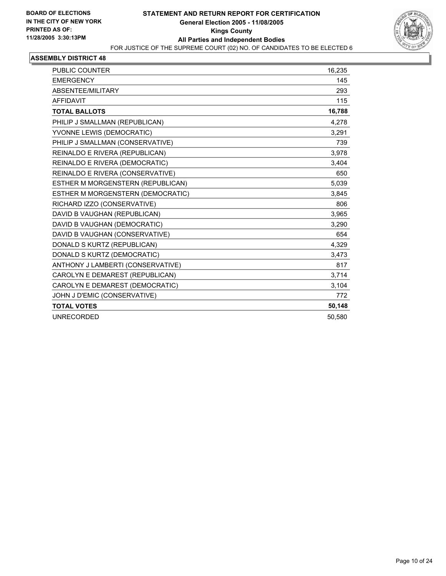

| PUBLIC COUNTER                    | 16,235 |
|-----------------------------------|--------|
| <b>EMERGENCY</b>                  | 145    |
| ABSENTEE/MILITARY                 | 293    |
| <b>AFFIDAVIT</b>                  | 115    |
| <b>TOTAL BALLOTS</b>              | 16,788 |
| PHILIP J SMALLMAN (REPUBLICAN)    | 4,278  |
| YVONNE LEWIS (DEMOCRATIC)         | 3.291  |
| PHILIP J SMALLMAN (CONSERVATIVE)  | 739    |
| REINALDO E RIVERA (REPUBLICAN)    | 3.978  |
| REINALDO E RIVERA (DEMOCRATIC)    | 3,404  |
| REINALDO E RIVERA (CONSERVATIVE)  | 650    |
| ESTHER M MORGENSTERN (REPUBLICAN) | 5,039  |
| ESTHER M MORGENSTERN (DEMOCRATIC) | 3,845  |
| RICHARD IZZO (CONSERVATIVE)       | 806    |
| DAVID B VAUGHAN (REPUBLICAN)      | 3,965  |
| DAVID B VAUGHAN (DEMOCRATIC)      | 3,290  |
| DAVID B VAUGHAN (CONSERVATIVE)    | 654    |
| DONALD S KURTZ (REPUBLICAN)       | 4,329  |
| DONALD S KURTZ (DEMOCRATIC)       | 3.473  |
| ANTHONY J LAMBERTI (CONSERVATIVE) | 817    |
| CAROLYN E DEMAREST (REPUBLICAN)   | 3,714  |
| CAROLYN E DEMAREST (DEMOCRATIC)   | 3,104  |
| JOHN J D'EMIC (CONSERVATIVE)      | 772    |
| <b>TOTAL VOTES</b>                | 50,148 |
| <b>UNRECORDED</b>                 | 50,580 |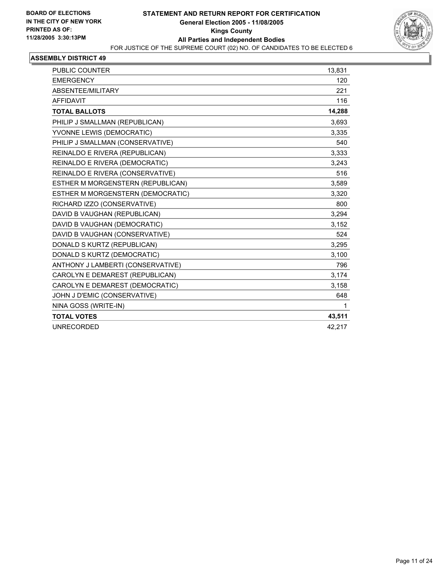

| <b>PUBLIC COUNTER</b>             | 13,831 |
|-----------------------------------|--------|
| <b>EMERGENCY</b>                  | 120    |
| ABSENTEE/MILITARY                 | 221    |
| <b>AFFIDAVIT</b>                  | 116    |
| <b>TOTAL BALLOTS</b>              | 14,288 |
| PHILIP J SMALLMAN (REPUBLICAN)    | 3,693  |
| YVONNE LEWIS (DEMOCRATIC)         | 3,335  |
| PHILIP J SMALLMAN (CONSERVATIVE)  | 540    |
| REINALDO E RIVERA (REPUBLICAN)    | 3,333  |
| REINALDO E RIVERA (DEMOCRATIC)    | 3.243  |
| REINALDO E RIVERA (CONSERVATIVE)  | 516    |
| ESTHER M MORGENSTERN (REPUBLICAN) | 3,589  |
| ESTHER M MORGENSTERN (DEMOCRATIC) | 3,320  |
| RICHARD IZZO (CONSERVATIVE)       | 800    |
| DAVID B VAUGHAN (REPUBLICAN)      | 3,294  |
| DAVID B VAUGHAN (DEMOCRATIC)      | 3,152  |
| DAVID B VAUGHAN (CONSERVATIVE)    | 524    |
| DONALD S KURTZ (REPUBLICAN)       | 3,295  |
| DONALD S KURTZ (DEMOCRATIC)       | 3,100  |
| ANTHONY J LAMBERTI (CONSERVATIVE) | 796    |
| CAROLYN E DEMAREST (REPUBLICAN)   | 3,174  |
| CAROLYN E DEMAREST (DEMOCRATIC)   | 3,158  |
| JOHN J D'EMIC (CONSERVATIVE)      | 648    |
| NINA GOSS (WRITE-IN)              | 1      |
| <b>TOTAL VOTES</b>                | 43,511 |
| <b>UNRECORDED</b>                 | 42,217 |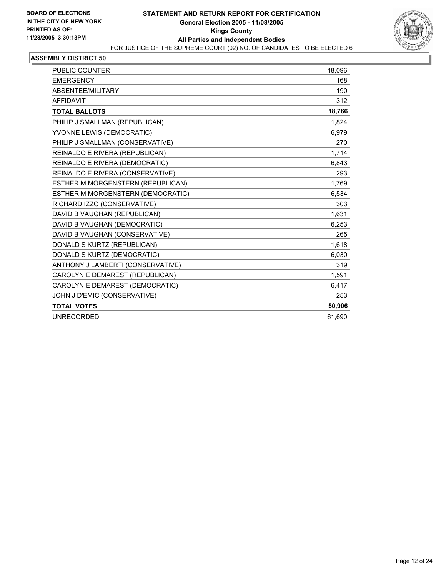

| <b>PUBLIC COUNTER</b>             | 18,096 |
|-----------------------------------|--------|
| <b>EMERGENCY</b>                  | 168    |
| ABSENTEE/MILITARY                 | 190    |
| <b>AFFIDAVIT</b>                  | 312    |
| <b>TOTAL BALLOTS</b>              | 18,766 |
| PHILIP J SMALLMAN (REPUBLICAN)    | 1,824  |
| YVONNE LEWIS (DEMOCRATIC)         | 6,979  |
| PHILIP J SMALLMAN (CONSERVATIVE)  | 270    |
| REINALDO E RIVERA (REPUBLICAN)    | 1,714  |
| REINALDO E RIVERA (DEMOCRATIC)    | 6,843  |
| REINALDO E RIVERA (CONSERVATIVE)  | 293    |
| ESTHER M MORGENSTERN (REPUBLICAN) | 1,769  |
| ESTHER M MORGENSTERN (DEMOCRATIC) | 6.534  |
| RICHARD IZZO (CONSERVATIVE)       | 303    |
| DAVID B VAUGHAN (REPUBLICAN)      | 1.631  |
| DAVID B VAUGHAN (DEMOCRATIC)      | 6,253  |
| DAVID B VAUGHAN (CONSERVATIVE)    | 265    |
| DONALD S KURTZ (REPUBLICAN)       | 1,618  |
| DONALD S KURTZ (DEMOCRATIC)       | 6,030  |
| ANTHONY J LAMBERTI (CONSERVATIVE) | 319    |
| CAROLYN E DEMAREST (REPUBLICAN)   | 1,591  |
| CAROLYN E DEMAREST (DEMOCRATIC)   | 6,417  |
| JOHN J D'EMIC (CONSERVATIVE)      | 253    |
| <b>TOTAL VOTES</b>                | 50,906 |
| <b>UNRECORDED</b>                 | 61.690 |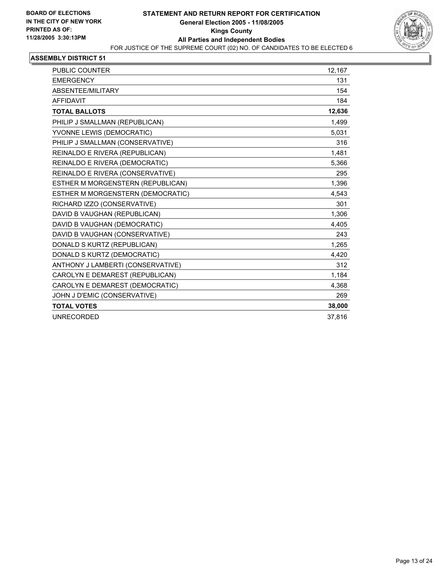

| <b>PUBLIC COUNTER</b>             | 12.167 |
|-----------------------------------|--------|
| <b>EMERGENCY</b>                  | 131    |
| ABSENTEE/MILITARY                 | 154    |
| <b>AFFIDAVIT</b>                  | 184    |
| <b>TOTAL BALLOTS</b>              | 12,636 |
| PHILIP J SMALLMAN (REPUBLICAN)    | 1,499  |
| YVONNE LEWIS (DEMOCRATIC)         | 5,031  |
| PHILIP J SMALLMAN (CONSERVATIVE)  | 316    |
| REINALDO E RIVERA (REPUBLICAN)    | 1,481  |
| REINALDO E RIVERA (DEMOCRATIC)    | 5,366  |
| REINALDO E RIVERA (CONSERVATIVE)  | 295    |
| ESTHER M MORGENSTERN (REPUBLICAN) | 1,396  |
| ESTHER M MORGENSTERN (DEMOCRATIC) | 4.543  |
| RICHARD IZZO (CONSERVATIVE)       | 301    |
| DAVID B VAUGHAN (REPUBLICAN)      | 1,306  |
| DAVID B VAUGHAN (DEMOCRATIC)      | 4.405  |
| DAVID B VAUGHAN (CONSERVATIVE)    | 243    |
| DONALD S KURTZ (REPUBLICAN)       | 1,265  |
| DONALD S KURTZ (DEMOCRATIC)       | 4,420  |
| ANTHONY J LAMBERTI (CONSERVATIVE) | 312    |
| CAROLYN E DEMAREST (REPUBLICAN)   | 1,184  |
| CAROLYN E DEMAREST (DEMOCRATIC)   | 4,368  |
| JOHN J D'EMIC (CONSERVATIVE)      | 269    |
| <b>TOTAL VOTES</b>                | 38,000 |
| <b>UNRECORDED</b>                 | 37,816 |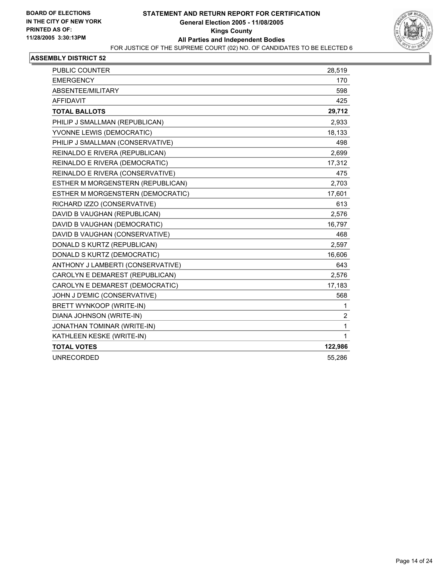

| PUBLIC COUNTER                    | 28,519         |
|-----------------------------------|----------------|
| <b>EMERGENCY</b>                  | 170            |
| ABSENTEE/MILITARY                 | 598            |
| <b>AFFIDAVIT</b>                  | 425            |
| <b>TOTAL BALLOTS</b>              | 29,712         |
| PHILIP J SMALLMAN (REPUBLICAN)    | 2,933          |
| YVONNE LEWIS (DEMOCRATIC)         | 18,133         |
| PHILIP J SMALLMAN (CONSERVATIVE)  | 498            |
| REINALDO E RIVERA (REPUBLICAN)    | 2,699          |
| REINALDO E RIVERA (DEMOCRATIC)    | 17,312         |
| REINALDO E RIVERA (CONSERVATIVE)  | 475            |
| ESTHER M MORGENSTERN (REPUBLICAN) | 2,703          |
| ESTHER M MORGENSTERN (DEMOCRATIC) | 17,601         |
| RICHARD IZZO (CONSERVATIVE)       | 613            |
| DAVID B VAUGHAN (REPUBLICAN)      | 2,576          |
| DAVID B VAUGHAN (DEMOCRATIC)      | 16,797         |
| DAVID B VAUGHAN (CONSERVATIVE)    | 468            |
| DONALD S KURTZ (REPUBLICAN)       | 2,597          |
| DONALD S KURTZ (DEMOCRATIC)       | 16,606         |
| ANTHONY J LAMBERTI (CONSERVATIVE) | 643            |
| CAROLYN E DEMAREST (REPUBLICAN)   | 2,576          |
| CAROLYN E DEMAREST (DEMOCRATIC)   | 17,183         |
| JOHN J D'EMIC (CONSERVATIVE)      | 568            |
| BRETT WYNKOOP (WRITE-IN)          | 1              |
| DIANA JOHNSON (WRITE-IN)          | $\overline{c}$ |
| JONATHAN TOMINAR (WRITE-IN)       | 1              |
| KATHLEEN KESKE (WRITE-IN)         | 1              |
| <b>TOTAL VOTES</b>                | 122,986        |
| <b>UNRECORDED</b>                 | 55,286         |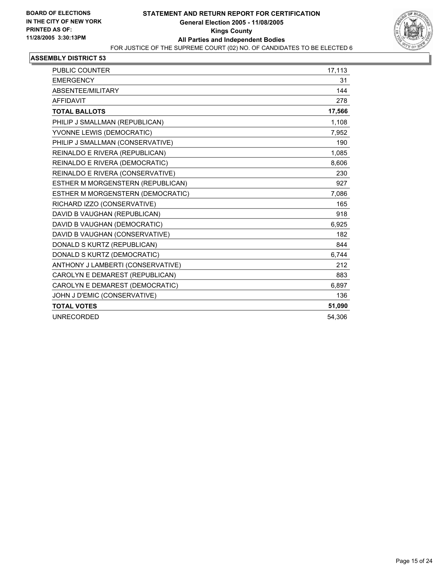

| <b>PUBLIC COUNTER</b>             | 17,113 |
|-----------------------------------|--------|
| <b>EMERGENCY</b>                  | 31     |
| ABSENTEE/MILITARY                 | 144    |
| <b>AFFIDAVIT</b>                  | 278    |
| <b>TOTAL BALLOTS</b>              | 17,566 |
| PHILIP J SMALLMAN (REPUBLICAN)    | 1,108  |
| YVONNE LEWIS (DEMOCRATIC)         | 7,952  |
| PHILIP J SMALLMAN (CONSERVATIVE)  | 190    |
| REINALDO E RIVERA (REPUBLICAN)    | 1,085  |
| REINALDO E RIVERA (DEMOCRATIC)    | 8.606  |
| REINALDO E RIVERA (CONSERVATIVE)  | 230    |
| ESTHER M MORGENSTERN (REPUBLICAN) | 927    |
| ESTHER M MORGENSTERN (DEMOCRATIC) | 7,086  |
| RICHARD IZZO (CONSERVATIVE)       | 165    |
| DAVID B VAUGHAN (REPUBLICAN)      | 918    |
| DAVID B VAUGHAN (DEMOCRATIC)      | 6,925  |
| DAVID B VAUGHAN (CONSERVATIVE)    | 182    |
| DONALD S KURTZ (REPUBLICAN)       | 844    |
| DONALD S KURTZ (DEMOCRATIC)       | 6,744  |
| ANTHONY J LAMBERTI (CONSERVATIVE) | 212    |
| CAROLYN E DEMAREST (REPUBLICAN)   | 883    |
| CAROLYN E DEMAREST (DEMOCRATIC)   | 6,897  |
| JOHN J D'EMIC (CONSERVATIVE)      | 136    |
| <b>TOTAL VOTES</b>                | 51,090 |
| <b>UNRECORDED</b>                 | 54,306 |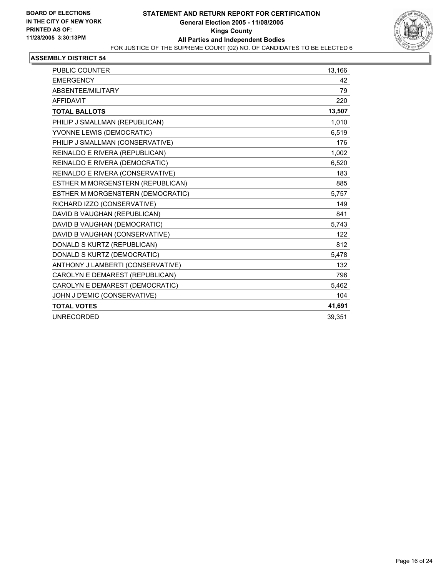

| PUBLIC COUNTER                    | 13,166 |
|-----------------------------------|--------|
| <b>EMERGENCY</b>                  | 42     |
| ABSENTEE/MILITARY                 | 79     |
| <b>AFFIDAVIT</b>                  | 220    |
| <b>TOTAL BALLOTS</b>              | 13,507 |
| PHILIP J SMALLMAN (REPUBLICAN)    | 1,010  |
| YVONNE LEWIS (DEMOCRATIC)         | 6,519  |
| PHILIP J SMALLMAN (CONSERVATIVE)  | 176    |
| REINALDO E RIVERA (REPUBLICAN)    | 1,002  |
| REINALDO E RIVERA (DEMOCRATIC)    | 6,520  |
| REINALDO E RIVERA (CONSERVATIVE)  | 183    |
| ESTHER M MORGENSTERN (REPUBLICAN) | 885    |
| ESTHER M MORGENSTERN (DEMOCRATIC) | 5,757  |
| RICHARD IZZO (CONSERVATIVE)       | 149    |
| DAVID B VAUGHAN (REPUBLICAN)      | 841    |
| DAVID B VAUGHAN (DEMOCRATIC)      | 5,743  |
| DAVID B VAUGHAN (CONSERVATIVE)    | 122    |
| DONALD S KURTZ (REPUBLICAN)       | 812    |
| DONALD S KURTZ (DEMOCRATIC)       | 5,478  |
| ANTHONY J LAMBERTI (CONSERVATIVE) | 132    |
| CAROLYN E DEMAREST (REPUBLICAN)   | 796    |
| CAROLYN E DEMAREST (DEMOCRATIC)   | 5,462  |
| JOHN J D'EMIC (CONSERVATIVE)      | 104    |
| <b>TOTAL VOTES</b>                | 41,691 |
| <b>UNRECORDED</b>                 | 39,351 |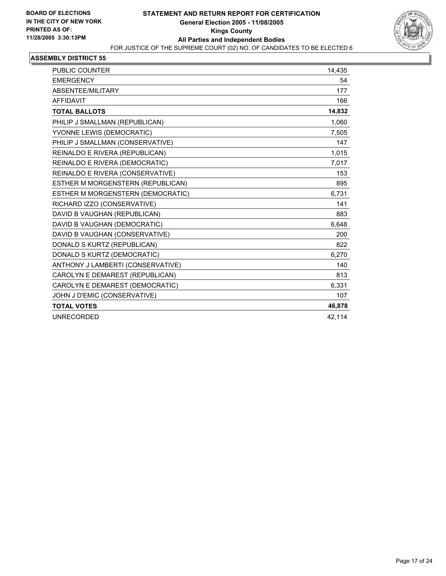

| <b>PUBLIC COUNTER</b>             | 14,435 |
|-----------------------------------|--------|
| <b>EMERGENCY</b>                  | 54     |
| ABSENTEE/MILITARY                 | 177    |
| <b>AFFIDAVIT</b>                  | 166    |
| <b>TOTAL BALLOTS</b>              | 14,832 |
| PHILIP J SMALLMAN (REPUBLICAN)    | 1,060  |
| YVONNE LEWIS (DEMOCRATIC)         | 7,505  |
| PHILIP J SMALLMAN (CONSERVATIVE)  | 147    |
| REINALDO E RIVERA (REPUBLICAN)    | 1,015  |
| REINALDO E RIVERA (DEMOCRATIC)    | 7,017  |
| REINALDO E RIVERA (CONSERVATIVE)  | 153    |
| ESTHER M MORGENSTERN (REPUBLICAN) | 895    |
| ESTHER M MORGENSTERN (DEMOCRATIC) | 6,731  |
| RICHARD IZZO (CONSERVATIVE)       | 141    |
| DAVID B VAUGHAN (REPUBLICAN)      | 883    |
| DAVID B VAUGHAN (DEMOCRATIC)      | 6,648  |
| DAVID B VAUGHAN (CONSERVATIVE)    | 200    |
| DONALD S KURTZ (REPUBLICAN)       | 822    |
| DONALD S KURTZ (DEMOCRATIC)       | 6,270  |
| ANTHONY J LAMBERTI (CONSERVATIVE) | 140    |
| CAROLYN E DEMAREST (REPUBLICAN)   | 813    |
| CAROLYN E DEMAREST (DEMOCRATIC)   | 6,331  |
| JOHN J D'EMIC (CONSERVATIVE)      | 107    |
| <b>TOTAL VOTES</b>                | 46,878 |
| <b>UNRECORDED</b>                 | 42,114 |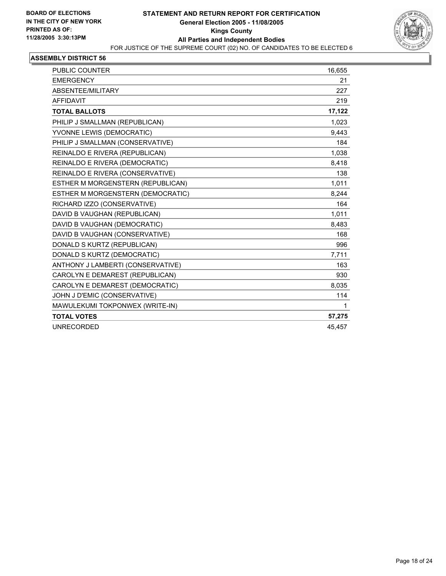

| PUBLIC COUNTER                    | 16,655 |  |
|-----------------------------------|--------|--|
| <b>EMERGENCY</b>                  | 21     |  |
| ABSENTEE/MILITARY                 | 227    |  |
| <b>AFFIDAVIT</b>                  | 219    |  |
| <b>TOTAL BALLOTS</b>              | 17,122 |  |
| PHILIP J SMALLMAN (REPUBLICAN)    | 1.023  |  |
| YVONNE LEWIS (DEMOCRATIC)         | 9,443  |  |
| PHILIP J SMALLMAN (CONSERVATIVE)  | 184    |  |
| REINALDO E RIVERA (REPUBLICAN)    | 1,038  |  |
| REINALDO E RIVERA (DEMOCRATIC)    | 8,418  |  |
| REINALDO E RIVERA (CONSERVATIVE)  | 138    |  |
| ESTHER M MORGENSTERN (REPUBLICAN) | 1,011  |  |
| ESTHER M MORGENSTERN (DEMOCRATIC) | 8,244  |  |
| RICHARD IZZO (CONSERVATIVE)       | 164    |  |
| DAVID B VAUGHAN (REPUBLICAN)      | 1,011  |  |
| DAVID B VAUGHAN (DEMOCRATIC)      | 8,483  |  |
| DAVID B VAUGHAN (CONSERVATIVE)    | 168    |  |
| DONALD S KURTZ (REPUBLICAN)       | 996    |  |
| DONALD S KURTZ (DEMOCRATIC)       | 7,711  |  |
| ANTHONY J LAMBERTI (CONSERVATIVE) | 163    |  |
| CAROLYN E DEMAREST (REPUBLICAN)   | 930    |  |
| CAROLYN E DEMAREST (DEMOCRATIC)   | 8,035  |  |
| JOHN J D'EMIC (CONSERVATIVE)      | 114    |  |
| MAWULEKUMI TOKPONWEX (WRITE-IN)   | 1      |  |
| <b>TOTAL VOTES</b>                | 57,275 |  |
| <b>UNRECORDED</b>                 | 45,457 |  |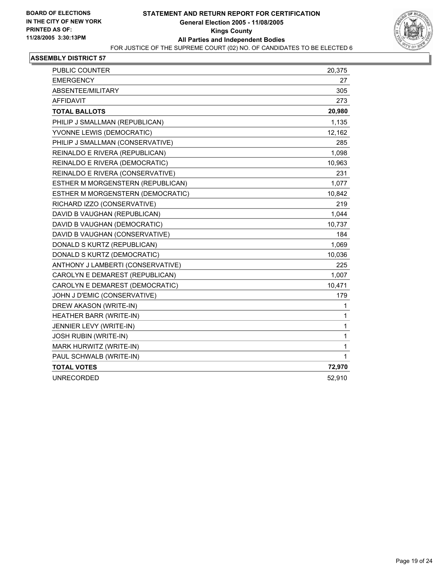

| PUBLIC COUNTER                    | 20,375 |
|-----------------------------------|--------|
| <b>EMERGENCY</b>                  | 27     |
| ABSENTEE/MILITARY                 | 305    |
| <b>AFFIDAVIT</b>                  | 273    |
| <b>TOTAL BALLOTS</b>              | 20,980 |
| PHILIP J SMALLMAN (REPUBLICAN)    | 1,135  |
| YVONNE LEWIS (DEMOCRATIC)         | 12,162 |
| PHILIP J SMALLMAN (CONSERVATIVE)  | 285    |
| REINALDO E RIVERA (REPUBLICAN)    | 1,098  |
| REINALDO E RIVERA (DEMOCRATIC)    | 10,963 |
| REINALDO E RIVERA (CONSERVATIVE)  | 231    |
| ESTHER M MORGENSTERN (REPUBLICAN) | 1,077  |
| ESTHER M MORGENSTERN (DEMOCRATIC) | 10,842 |
| RICHARD IZZO (CONSERVATIVE)       | 219    |
| DAVID B VAUGHAN (REPUBLICAN)      | 1,044  |
| DAVID B VAUGHAN (DEMOCRATIC)      | 10,737 |
| DAVID B VAUGHAN (CONSERVATIVE)    | 184    |
| DONALD S KURTZ (REPUBLICAN)       | 1,069  |
| DONALD S KURTZ (DEMOCRATIC)       | 10,036 |
| ANTHONY J LAMBERTI (CONSERVATIVE) | 225    |
| CAROLYN E DEMAREST (REPUBLICAN)   | 1,007  |
| CAROLYN E DEMAREST (DEMOCRATIC)   | 10,471 |
| JOHN J D'EMIC (CONSERVATIVE)      | 179    |
| DREW AKASON (WRITE-IN)            | 1      |
| HEATHER BARR (WRITE-IN)           | 1      |
| JENNIER LEVY (WRITE-IN)           | 1      |
| <b>JOSH RUBIN (WRITE-IN)</b>      | 1      |
| MARK HURWITZ (WRITE-IN)           | 1      |
| PAUL SCHWALB (WRITE-IN)           | 1      |
| <b>TOTAL VOTES</b>                | 72,970 |
| <b>UNRECORDED</b>                 | 52,910 |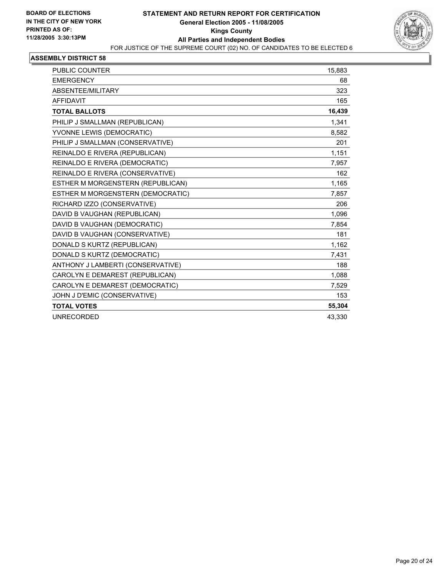

| PUBLIC COUNTER                    | 15,883 |
|-----------------------------------|--------|
| <b>EMERGENCY</b>                  | 68     |
| ABSENTEE/MILITARY                 | 323    |
| <b>AFFIDAVIT</b>                  | 165    |
| <b>TOTAL BALLOTS</b>              | 16,439 |
| PHILIP J SMALLMAN (REPUBLICAN)    | 1,341  |
| YVONNE LEWIS (DEMOCRATIC)         | 8,582  |
| PHILIP J SMALLMAN (CONSERVATIVE)  | 201    |
| REINALDO E RIVERA (REPUBLICAN)    | 1,151  |
| REINALDO E RIVERA (DEMOCRATIC)    | 7,957  |
| REINALDO E RIVERA (CONSERVATIVE)  | 162    |
| ESTHER M MORGENSTERN (REPUBLICAN) | 1,165  |
| ESTHER M MORGENSTERN (DEMOCRATIC) | 7,857  |
| RICHARD IZZO (CONSERVATIVE)       | 206    |
| DAVID B VAUGHAN (REPUBLICAN)      | 1,096  |
| DAVID B VAUGHAN (DEMOCRATIC)      | 7,854  |
| DAVID B VAUGHAN (CONSERVATIVE)    | 181    |
| DONALD S KURTZ (REPUBLICAN)       | 1,162  |
| DONALD S KURTZ (DEMOCRATIC)       | 7,431  |
| ANTHONY J LAMBERTI (CONSERVATIVE) | 188    |
| CAROLYN E DEMAREST (REPUBLICAN)   | 1,088  |
| CAROLYN E DEMAREST (DEMOCRATIC)   | 7,529  |
| JOHN J D'EMIC (CONSERVATIVE)      | 153    |
| <b>TOTAL VOTES</b>                | 55,304 |
| <b>UNRECORDED</b>                 | 43,330 |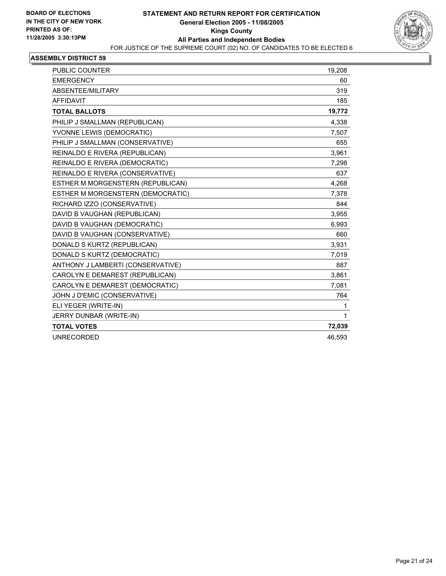

| <b>PUBLIC COUNTER</b>             | 19,208 |
|-----------------------------------|--------|
| <b>EMERGENCY</b>                  | 60     |
| ABSENTEE/MILITARY                 | 319    |
| <b>AFFIDAVIT</b>                  | 185    |
| <b>TOTAL BALLOTS</b>              | 19,772 |
| PHILIP J SMALLMAN (REPUBLICAN)    | 4,338  |
| YVONNE LEWIS (DEMOCRATIC)         | 7,507  |
| PHILIP J SMALLMAN (CONSERVATIVE)  | 655    |
| REINALDO E RIVERA (REPUBLICAN)    | 3,961  |
| REINALDO E RIVERA (DEMOCRATIC)    | 7,298  |
| REINALDO E RIVERA (CONSERVATIVE)  | 637    |
| ESTHER M MORGENSTERN (REPUBLICAN) | 4,268  |
| ESTHER M MORGENSTERN (DEMOCRATIC) | 7,378  |
| RICHARD IZZO (CONSERVATIVE)       | 844    |
| DAVID B VAUGHAN (REPUBLICAN)      | 3,955  |
| DAVID B VAUGHAN (DEMOCRATIC)      | 6,993  |
| DAVID B VAUGHAN (CONSERVATIVE)    | 660    |
| DONALD S KURTZ (REPUBLICAN)       | 3,931  |
| DONALD S KURTZ (DEMOCRATIC)       | 7.019  |
| ANTHONY J LAMBERTI (CONSERVATIVE) | 887    |
| CAROLYN E DEMAREST (REPUBLICAN)   | 3,861  |
| CAROLYN E DEMAREST (DEMOCRATIC)   | 7,081  |
| JOHN J D'EMIC (CONSERVATIVE)      | 764    |
| ELI YEGER (WRITE-IN)              | 1      |
| JERRY DUNBAR (WRITE-IN)           | 1      |
| <b>TOTAL VOTES</b>                | 72,039 |
| <b>UNRECORDED</b>                 | 46,593 |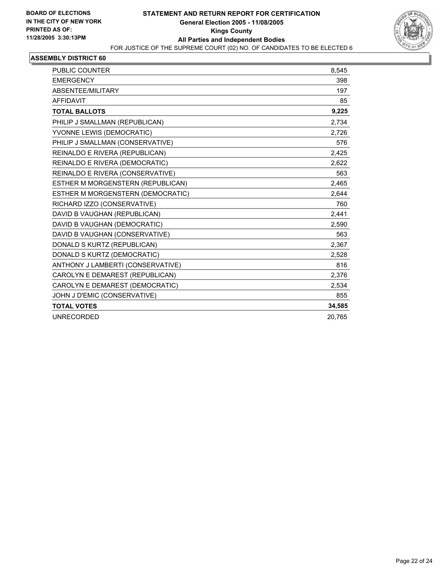

| <b>PUBLIC COUNTER</b>             | 8,545  |
|-----------------------------------|--------|
| <b>EMERGENCY</b>                  | 398    |
| ABSENTEE/MILITARY                 | 197    |
| <b>AFFIDAVIT</b>                  | 85     |
| <b>TOTAL BALLOTS</b>              | 9,225  |
| PHILIP J SMALLMAN (REPUBLICAN)    | 2,734  |
| YVONNE LEWIS (DEMOCRATIC)         | 2,726  |
| PHILIP J SMALLMAN (CONSERVATIVE)  | 576    |
| REINALDO E RIVERA (REPUBLICAN)    | 2,425  |
| REINALDO E RIVERA (DEMOCRATIC)    | 2,622  |
| REINALDO E RIVERA (CONSERVATIVE)  | 563    |
| ESTHER M MORGENSTERN (REPUBLICAN) | 2,465  |
| ESTHER M MORGENSTERN (DEMOCRATIC) | 2,644  |
| RICHARD IZZO (CONSERVATIVE)       | 760    |
| DAVID B VAUGHAN (REPUBLICAN)      | 2,441  |
| DAVID B VAUGHAN (DEMOCRATIC)      | 2,590  |
| DAVID B VAUGHAN (CONSERVATIVE)    | 563    |
| DONALD S KURTZ (REPUBLICAN)       | 2,367  |
| DONALD S KURTZ (DEMOCRATIC)       | 2,528  |
| ANTHONY J LAMBERTI (CONSERVATIVE) | 816    |
| CAROLYN E DEMAREST (REPUBLICAN)   | 2,376  |
| CAROLYN E DEMAREST (DEMOCRATIC)   | 2,534  |
| JOHN J D'EMIC (CONSERVATIVE)      | 855    |
| <b>TOTAL VOTES</b>                | 34,585 |
| <b>UNRECORDED</b>                 | 20,765 |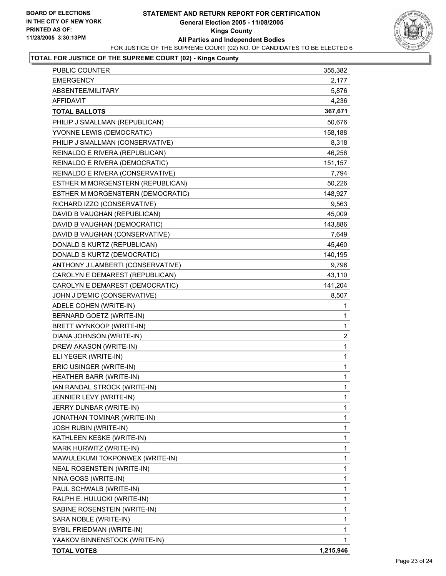### **STATEMENT AND RETURN REPORT FOR CERTIFICATION General Election 2005 - 11/08/2005 Kings County All Parties and Independent Bodies** FOR JUSTICE OF THE SUPREME COURT (02) NO. OF CANDIDATES TO BE ELECTED 6



# **TOTAL FOR JUSTICE OF THE SUPREME COURT (02) - Kings County**

| PUBLIC COUNTER                    | 355,382        |
|-----------------------------------|----------------|
| <b>EMERGENCY</b>                  | 2,177          |
| ABSENTEE/MILITARY                 | 5,876          |
| <b>AFFIDAVIT</b>                  | 4,236          |
| <b>TOTAL BALLOTS</b>              | 367,671        |
| PHILIP J SMALLMAN (REPUBLICAN)    | 50,676         |
| YVONNE LEWIS (DEMOCRATIC)         | 158,188        |
| PHILIP J SMALLMAN (CONSERVATIVE)  | 8,318          |
| REINALDO E RIVERA (REPUBLICAN)    | 46,256         |
| REINALDO E RIVERA (DEMOCRATIC)    | 151,157        |
| REINALDO E RIVERA (CONSERVATIVE)  | 7,794          |
| ESTHER M MORGENSTERN (REPUBLICAN) | 50,226         |
| ESTHER M MORGENSTERN (DEMOCRATIC) | 148,927        |
| RICHARD IZZO (CONSERVATIVE)       | 9,563          |
| DAVID B VAUGHAN (REPUBLICAN)      | 45,009         |
| DAVID B VAUGHAN (DEMOCRATIC)      | 143,886        |
| DAVID B VAUGHAN (CONSERVATIVE)    | 7,649          |
| DONALD S KURTZ (REPUBLICAN)       | 45,460         |
| DONALD S KURTZ (DEMOCRATIC)       | 140,195        |
| ANTHONY J LAMBERTI (CONSERVATIVE) | 9,796          |
| CAROLYN E DEMAREST (REPUBLICAN)   | 43,110         |
| CAROLYN E DEMAREST (DEMOCRATIC)   | 141,204        |
| JOHN J D'EMIC (CONSERVATIVE)      | 8,507          |
| ADELE COHEN (WRITE-IN)            | $\mathbf 1$    |
| BERNARD GOETZ (WRITE-IN)          | 1              |
| BRETT WYNKOOP (WRITE-IN)          | 1              |
| DIANA JOHNSON (WRITE-IN)          | $\overline{c}$ |
| DREW AKASON (WRITE-IN)            | 1              |
| ELI YEGER (WRITE-IN)              | 1              |
| ERIC USINGER (WRITE-IN)           | $\mathbf 1$    |
| HEATHER BARR (WRITE-IN)           | 1              |
| IAN RANDAL STROCK (WRITE-IN)      | 1              |
| JENNIER LEVY (WRITE-IN)           | $\mathbf{1}$   |
| JERRY DUNBAR (WRITE-IN)           | 1              |
| JONATHAN TOMINAR (WRITE-IN)       | 1              |
| <b>JOSH RUBIN (WRITE-IN)</b>      | 1              |
| KATHLEEN KESKE (WRITE-IN)         | 1              |
| MARK HURWITZ (WRITE-IN)           | 1              |
| MAWULEKUMI TOKPONWEX (WRITE-IN)   | 1              |
| <b>NEAL ROSENSTEIN (WRITE-IN)</b> | 1              |
| NINA GOSS (WRITE-IN)              | 1              |
| PAUL SCHWALB (WRITE-IN)           | 1              |
| RALPH E. HULUCKI (WRITE-IN)       | 1              |
| SABINE ROSENSTEIN (WRITE-IN)      | 1              |
| SARA NOBLE (WRITE-IN)             | 1              |
| SYBIL FRIEDMAN (WRITE-IN)         | 1              |
| YAAKOV BINNENSTOCK (WRITE-IN)     | 1              |
| <b>TOTAL VOTES</b>                | 1,215,946      |